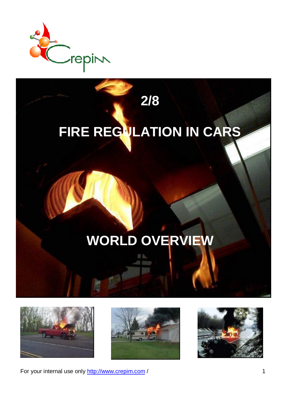

## **FIRE REGULATION IN CARS**

**2/8**

## **WORLD OVERVIEW**







For your internal use only http://www.crepim.com / 1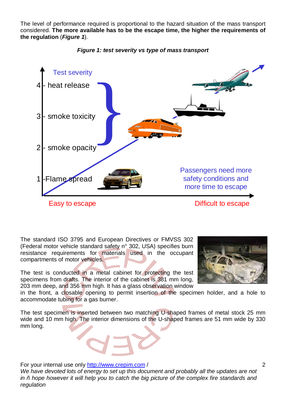The level of performance required is proportional to the hazard situation of the mass transport considered. **The more available has to be the escape time, the higher the requirements of the regulation** (*Figure 1*).



## *Figure 1: test severity vs type of mass transport*

The standard ISO 3795 and European Directives or FMVSS 302 (Federal motor vehicle standard safety n° 302, USA) specifies burn resistance requirements for materials used in the occupant compartments of motor vehicles.

The test is conducted in a metal cabinet for protecting the test specimens from drafts. The interior of the cabinet is 381 mm long, 203 mm deep, and 356 mm high. It has a glass observation window



in the front, a closable opening to permit insertion of the specimen holder, and a hole to accommodate tubing for a gas burner.

The test specimen is inserted between two matching U-shaped frames of metal stock 25 mm wide and 10 mm high. The interior dimensions of the U-shaped frames are 51 mm wide by 330 mm long.

For your internal use only http://www.crepim.com /

*We have devoted lots of energy to set up this document and probably all the updates are not in – hope however it will help you to catch the big picture of the complex fire standards and regulation*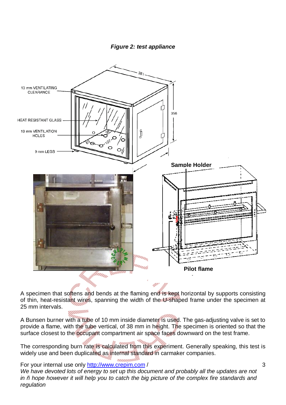

A specimen that softens and bends at the flaming end is kept horizontal by supports consisting of thin, heat-resistant wires, spanning the width of the U-shaped frame under the specimen at 25 mm intervals.

A Bunsen burner with a tube of 10 mm inside diameter is used. The gas-adjusting valve is set to provide a flame, with the tube vertical, of 38 mm in height. The specimen is oriented so that the surface closest to the occupant compartment air space faces downward on the test frame.

The corresponding burn rate is calculated from this experiment. Generally speaking, this test is widely use and been duplicated as internal standard in carmaker companies.

For your internal use only http://www.crepim.com /

*We have devoted lots of energy to set up this document and probably all the updates are not in – hope however it will help you to catch the big picture of the complex fire standards and regulation*